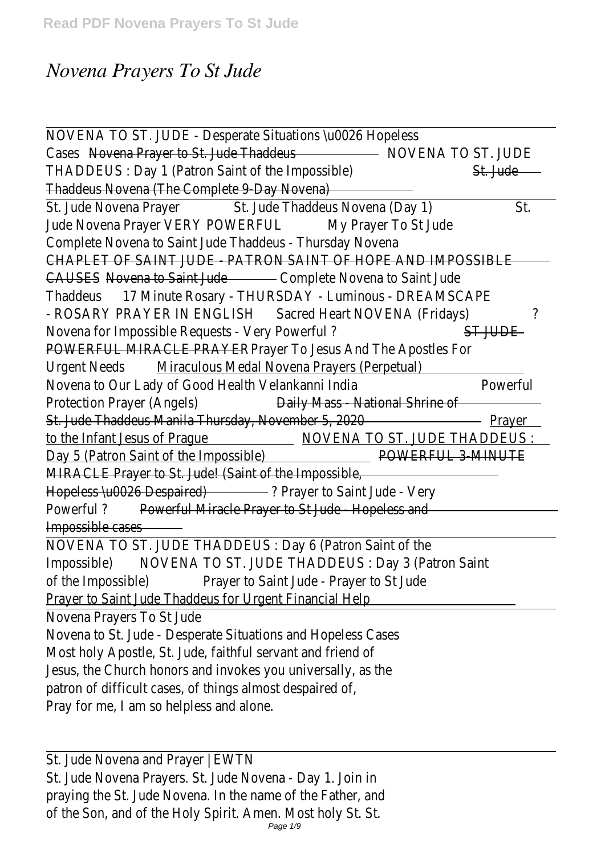## *Novena Prayers To St Jude*

| NOVENA TO ST. JUDE - Desperate Situations \u0026 Hopeless                     |                 |  |
|-------------------------------------------------------------------------------|-----------------|--|
| Cases Novena Prayer to St. Jude Thaddeus November 2014 NOVENA TO ST. JUDE     |                 |  |
| THADDEUS: Day 1 (Patron Saint of the Impossible)                              | St. Jude        |  |
| Thaddeus Novena (The Complete 9 Day Novena)                                   |                 |  |
| St. Jude Novena Prayer St. Jude Thaddeus Novena (Day 1)                       | St.             |  |
| Jude Novena Prayer VERY POWERFUL<br>My Prayer To St Jude                      |                 |  |
| Complete Novena to Saint Jude Thaddeus - Thursday Novena                      |                 |  |
| CHAPLET OF SAINT JUDE - PATRON SAINT OF HOPE AND IMPOSSIBLE                   |                 |  |
| CAUSES - Novena to Saint Jude - Complete Novena to Saint Jude                 |                 |  |
| Thaddeus 17 Minute Rosary - THURSDAY - Luminous - DREAMSCAPE                  |                 |  |
| - ROSARY PRAYER IN ENGLISH Sacred Heart NOVENA (Fridays)                      | ?               |  |
| Novena for Impossible Requests - Very Powerful?<br>ST JUDE                    |                 |  |
| POWERFUL MIRACLE PRAYER Prayer To Jesus And The Apostles For                  |                 |  |
| Urgent Needs Miraculous Medal Novena Prayers (Perpetual)                      |                 |  |
| Novena to Our Lady of Good Health Velankanni India                            | Powerful        |  |
| Protection Prayer (Angels)<br>Daily Mass - National Shrine of                 |                 |  |
| St. Jude Thaddeus Manila Thursday, November 5, 2020                           | — <u>Prayer</u> |  |
| to the Infant Jesus of Prague MOVENA TO ST. JUDE THADDEUS :                   |                 |  |
| Day 5 (Patron Saint of the Impossible) Day 5 (Patron Saint Of the Impossible) |                 |  |
| MIRACLE Prayer to St. Jude! (Saint of the Impossible,                         |                 |  |
| Hopeless \u0026 Despaired) 2 Prayer to Saint Jude - Very                      |                 |  |
| Powerful? Powerful Miracle Prayer to St Jude - Hopeless and                   |                 |  |
| Impossible cases                                                              |                 |  |
| NOVENA TO ST. JUDE THADDEUS : Day 6 (Patron Saint of the                      |                 |  |
| Impossible) NOVENA TO ST. JUDE THADDEUS : Day 3 (Patron Saint                 |                 |  |
| of the Impossible) Prayer to Saint Jude - Prayer to St Jude                   |                 |  |
| <b>Prayer to Saint Jude Thaddeus for Urgent Financial Help.</b>               |                 |  |
| Novena Prayers To St Jude                                                     |                 |  |
| Novena to St. Jude - Desperate Situations and Hopeless Cases                  |                 |  |
| Most holy Apostle, St. Jude, faithful servant and friend of                   |                 |  |
| Jesus, the Church honors and invokes you universally, as the                  |                 |  |
| patron of difficult cases, of things almost despaired of,                     |                 |  |
| Pray for me, I am so helpless and alone.                                      |                 |  |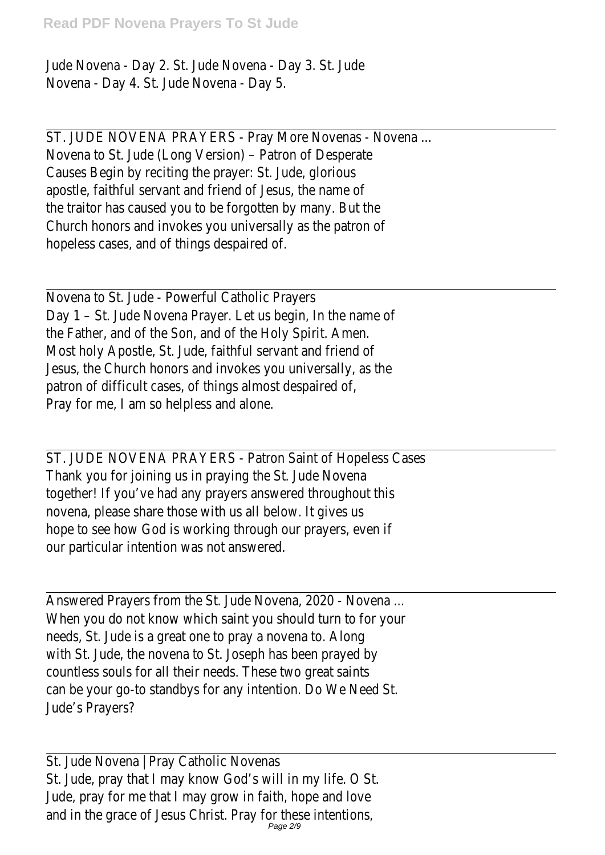Jude Novena - Day 2. St. Jude Novena - Day 3. St. Jude Novena - Day 4. St. Jude Novena - Day 5.

ST. JUDE NOVENA PRAYERS - Pray More Novenas - Novena ... Novena to St. Jude (Long Version) – Patron of Desperate Causes Begin by reciting the prayer: St. Jude, glorious apostle, faithful servant and friend of Jesus, the name of the traitor has caused you to be forgotten by many. But the Church honors and invokes you universally as the patron of hopeless cases, and of things despaired of.

Novena to St. Jude - Powerful Catholic Prayers Day 1 – St. Jude Novena Prayer. Let us begin, In the name of the Father, and of the Son, and of the Holy Spirit. Amen. Most holy Apostle, St. Jude, faithful servant and friend of Jesus, the Church honors and invokes you universally, as the patron of difficult cases, of things almost despaired of Pray for me, I am so helpless and alone.

ST. JUDE NOVENA PRAYERS - Patron Saint of Hopeless Cases Thank you for joining us in praying the St. Jude Novena together! If you've had any prayers answered throughout this novena, please share those with us all below. It gives us hope to see how God is working through our prayers, even if our particular intention was not answered.

Answered Prayers from the St. Jude Novena, 2020 - Novena ... When you do not know which saint you should turn to for your needs, St. Jude is a great one to pray a novena to. Along with St. Jude, the novena to St. Joseph has been prayed by countless souls for all their needs. These two great saints can be your go-to standbys for any intention. Do We Need St. Jude's Prayers?

St. Jude Novena | Pray Catholic Novenas St. Jude, pray that I may know God's will in my life. O St. Jude, pray for me that I may grow in faith, hope and love and in the grace of Jesus Christ. Pray for these intentions Page 2/9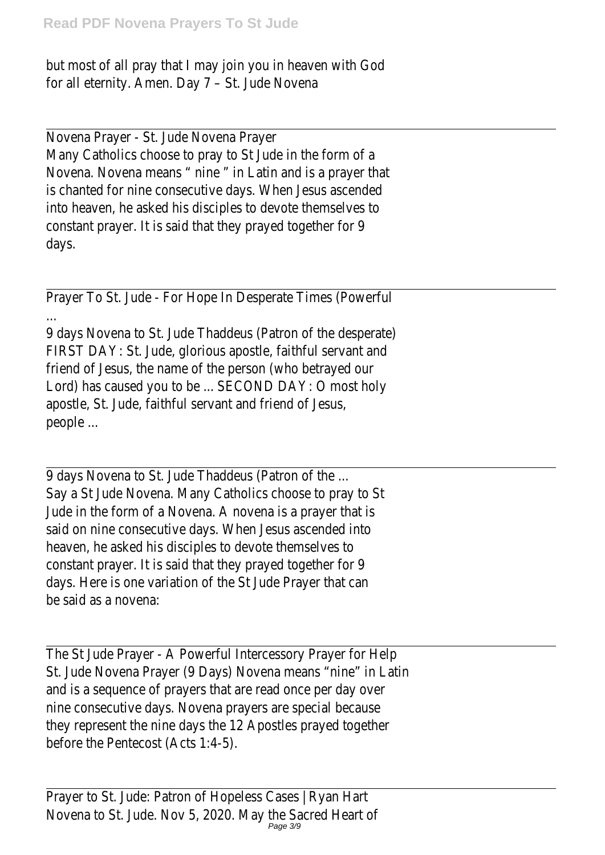but most of all pray that I may join you in heaven with God for all eternity. Amen. Day 7 – St. Jude Novena

Novena Prayer - St. Jude Novena Prayer Many Catholics choose to pray to St Jude in the form of a Novena. Novena means " nine " in Latin and is a prayer that is chanted for nine consecutive days. When Jesus ascended into heaven, he asked his disciples to devote themselves to constant prayer. It is said that they prayed together for 9 days.

Prayer To St. Jude - For Hope In Desperate Times (Powerful

...

9 days Novena to St. Jude Thaddeus (Patron of the desperate) FIRST DAY: St. Jude, glorious apostle, faithful servant and friend of Jesus, the name of the person (who betrayed our Lord) has caused you to be ... SECOND DAY: O most holy apostle, St. Jude, faithful servant and friend of Jesus, people ...

9 days Novena to St. Jude Thaddeus (Patron of the ... Say a St Jude Novena. Many Catholics choose to pray to St Jude in the form of a Novena. A novena is a prayer that is said on nine consecutive days. When Jesus ascended into heaven, he asked his disciples to devote themselves to constant prayer. It is said that they prayed together for 9 days. Here is one variation of the St Jude Prayer that can be said as a novena:

The St Jude Prayer - A Powerful Intercessory Prayer for Help St. Jude Novena Prayer (9 Days) Novena means "nine" in Latin and is a sequence of prayers that are read once per day over nine consecutive days. Novena prayers are special because they represent the nine days the 12 Apostles prayed together before the Pentecost (Acts 1:4-5).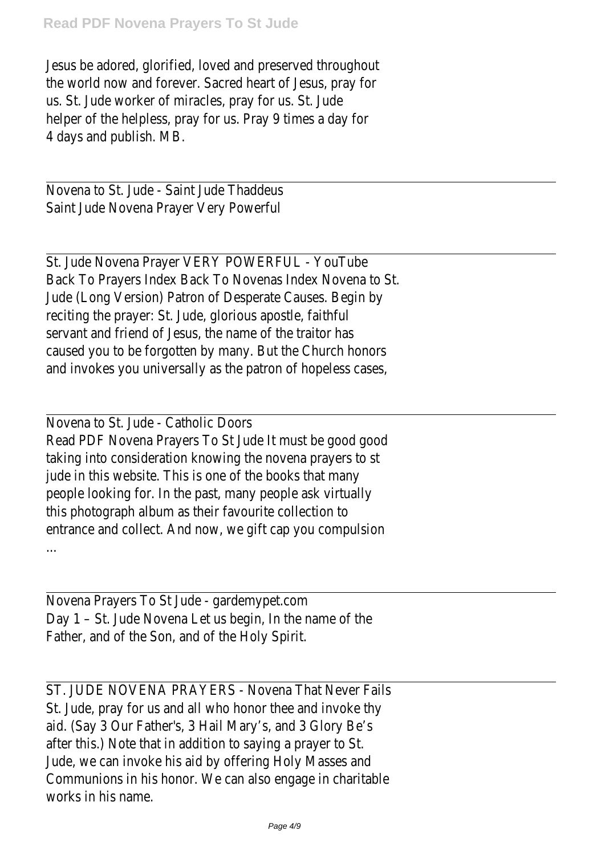Jesus be adored, glorified, loved and preserved throughout the world now and forever. Sacred heart of Jesus, pray for us. St. Jude worker of miracles, pray for us. St. Jude helper of the helpless, pray for us. Pray 9 times a day for 4 days and publish. MB.

Novena to St. Jude - Saint Jude Thaddeus Saint Jude Novena Prayer Very Powerful

St. Jude Novena Prayer VERY POWERFUL - YouTube Back To Prayers Index Back To Novenas Index Novena to St. Jude (Long Version) Patron of Desperate Causes. Begin by reciting the prayer: St. Jude, glorious apostle, faithful servant and friend of Jesus, the name of the traitor has caused you to be forgotten by many. But the Church honors and invokes you universally as the patron of hopeless cases

Novena to St. Jude - Catholic Doors Read PDF Novena Prayers To St Jude It must be good good taking into consideration knowing the novena prayers to st jude in this website. This is one of the books that many people looking for. In the past, many people ask virtually this photograph album as their favourite collection to entrance and collect. And now, we gift cap you compulsion ...

Novena Prayers To St Jude - gardemypet.com Day 1 – St. Jude Novena Let us begin, In the name of the Father, and of the Son, and of the Holy Spirit.

ST. JUDE NOVENA PRAYERS - Novena That Never Fails St. Jude, pray for us and all who honor thee and invoke thy aid. (Say 3 Our Father's, 3 Hail Mary's, and 3 Glory Be's after this.) Note that in addition to saying a prayer to St. Jude, we can invoke his aid by offering Holy Masses and Communions in his honor. We can also engage in charitable works in his name.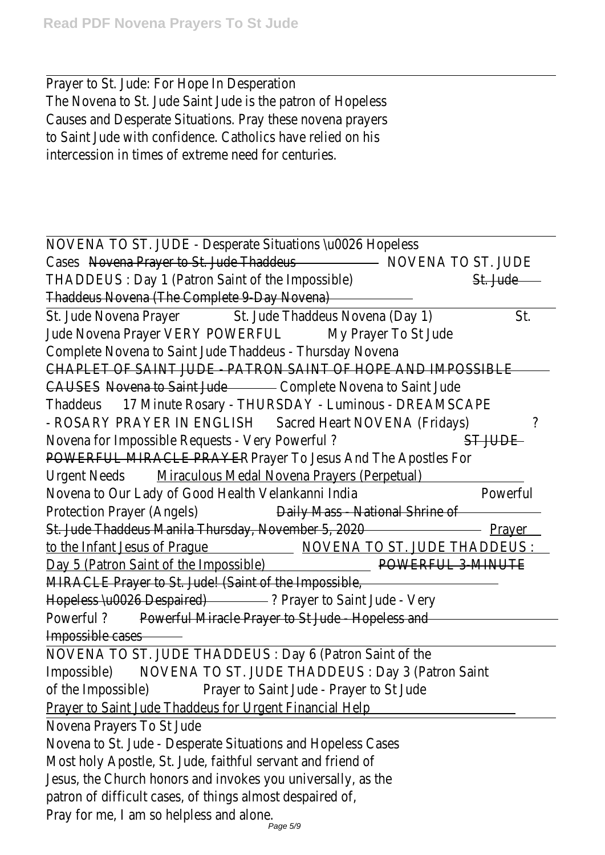Prayer to St. Jude: For Hope In Desperation The Novena to St. Jude Saint Jude is the patron of Hopeles Causes and Desperate Situations. Pray these novena prayer to Saint Jude with confidence. Catholics have relied on hi intercession in times of extreme need for centuries.

| NOVENA TO ST. JUDE - Desperate Situations \u0026 Hopeless                                           |          |  |
|-----------------------------------------------------------------------------------------------------|----------|--|
| Cases Novena Prayer to St. Jude Thaddeus Manuel MOVENA TO ST. JUDE                                  |          |  |
| THADDEUS: Day 1 (Patron Saint of the Impossible)                                                    | St. Jude |  |
| Thaddeus Novena (The Complete 9-Day Novena)                                                         |          |  |
| St. Jude Novena Prayer St. Jude Thaddeus Novena (Day 1)                                             | St.      |  |
| Jude Novena Prayer VERY POWERFUL<br>My Prayer To St Jude                                            |          |  |
| Complete Novena to Saint Jude Thaddeus - Thursday Novena                                            |          |  |
| CHAPLET OF SAINT JUDE - PATRON SAINT OF HOPE AND IMPOSSIBLE                                         |          |  |
| CAUSES - Novena to Saint Jude - Complete Novena to Saint Jude                                       |          |  |
| Thaddeus 17 Minute Rosary - THURSDAY - Luminous - DREAMSCAPE                                        |          |  |
| - ROSARY PRAYER IN ENGLISH Sacred Heart NOVENA (Fridays)                                            | 7        |  |
| Novena for Impossible Requests - Very Powerful?<br>ST JUDE                                          |          |  |
| POWERFUL MIRACLE PRAYER Prayer To Jesus And The Apostles For                                        |          |  |
| Urgent Needs Miraculous Medal Novena Prayers (Perpetual)                                            |          |  |
| Novena to Our Lady of Good Health Velankanni India                                                  | Powerful |  |
| Protection Prayer (Angels) <b>Example 2</b> Daily Mass - National Shrine of                         |          |  |
| St. Jude Thaddeus Manila Thursday, November 5, 2020 <b>Contract Contract Contract Person</b> Prayer |          |  |
| to the Infant Jesus of Prague MOVENA TO ST. JUDE THADDEUS :                                         |          |  |
| Day 5 (Patron Saint of the Impossible) National American POWERFUL 3-MINUTE                          |          |  |
| MIRACLE Prayer to St. Jude! (Saint of the Impossible,                                               |          |  |
| Hopeless \u0026 Despaired) 2 Prayer to Saint Jude - Very                                            |          |  |
| Powerful? Powerful Miracle Prayer to St Jude - Hopeless and                                         |          |  |
| Impossible cases                                                                                    |          |  |
| NOVENA TO ST. JUDE THADDEUS : Day 6 (Patron Saint of the                                            |          |  |
| Impossible) NOVENA TO ST. JUDE THADDEUS : Day 3 (Patron Saint                                       |          |  |
| of the Impossible) Prayer to Saint Jude - Prayer to St Jude                                         |          |  |
| <b>Prayer to Saint Jude Thaddeus for Urgent Financial Help</b>                                      |          |  |
| Novena Prayers To St Jude                                                                           |          |  |
| Novena to St. Jude - Desperate Situations and Hopeless Cases                                        |          |  |
| Most holy Apostle, St. Jude, faithful servant and friend of                                         |          |  |
| Jesus, the Church honors and invokes you universally, as the                                        |          |  |
| patron of difficult cases, of things almost despaired of,                                           |          |  |
| Pray for me, I am so helpless and alone.                                                            |          |  |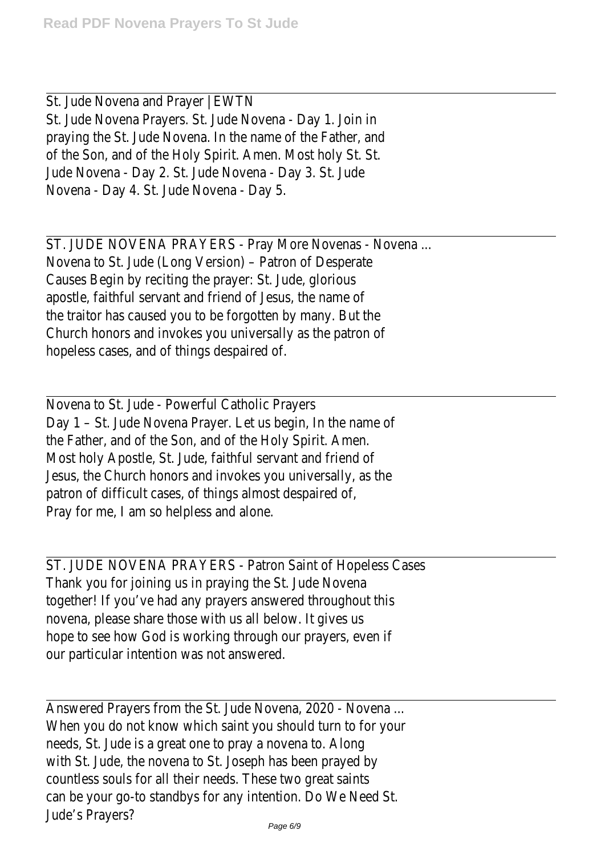St. Jude Novena and Prayer | EWTN St. Jude Novena Prayers. St. Jude Novena - Day 1. Join in praying the St. Jude Novena. In the name of the Father, and of the Son, and of the Holy Spirit. Amen. Most holy St. St. Jude Novena - Day 2. St. Jude Novena - Day 3. St. Jude Novena - Day 4. St. Jude Novena - Day 5.

ST. JUDE NOVENA PRAYERS - Pray More Novenas - Novena ... Novena to St. Jude (Long Version) – Patron of Desperate Causes Begin by reciting the prayer: St. Jude, glorious apostle, faithful servant and friend of Jesus, the name of the traitor has caused you to be forgotten by many. But the Church honors and invokes you universally as the patron of hopeless cases, and of things despaired of.

Novena to St. Jude - Powerful Catholic Prayers Day 1 – St. Jude Novena Prayer. Let us begin, In the name of the Father, and of the Son, and of the Holy Spirit. Amen. Most holy Apostle, St. Jude, faithful servant and friend of Jesus, the Church honors and invokes you universally, as the patron of difficult cases, of things almost despaired of Pray for me, I am so helpless and alone.

ST. JUDE NOVENA PRAYERS - Patron Saint of Hopeless Cases Thank you for joining us in praying the St. Jude Novena together! If you've had any prayers answered throughout this novena, please share those with us all below. It gives us hope to see how God is working through our prayers, even if our particular intention was not answered.

Answered Prayers from the St. Jude Novena, 2020 - Novena ... When you do not know which saint you should turn to for your needs, St. Jude is a great one to pray a novena to. Along with St. Jude, the novena to St. Joseph has been prayed by countless souls for all their needs. These two great saints can be your go-to standbys for any intention. Do We Need St. Jude's Prayers?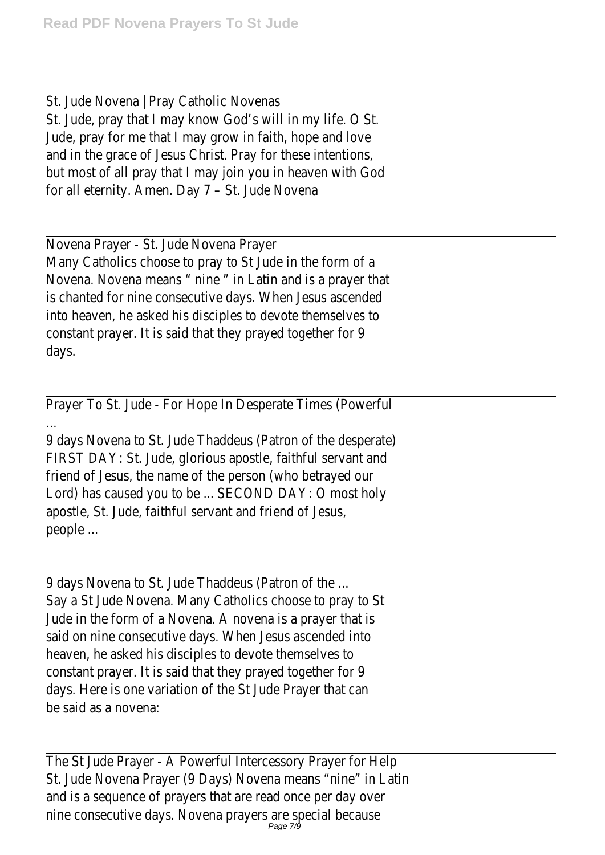St. Jude Novena | Pray Catholic Novenas St. Jude, pray that I may know God's will in my life. O St. Jude, pray for me that I may grow in faith, hope and love and in the grace of Jesus Christ. Pray for these intentions but most of all pray that I may join you in heaven with God for all eternity. Amen. Day 7 – St. Jude Novena

Novena Prayer - St. Jude Novena Prayer Many Catholics choose to pray to St Jude in the form of a Novena. Novena means " nine " in Latin and is a prayer that is chanted for nine consecutive days. When Jesus ascended into heaven, he asked his disciples to devote themselves to constant prayer. It is said that they prayed together for 9 days.

Prayer To St. Jude - For Hope In Desperate Times (Powerful

...

9 days Novena to St. Jude Thaddeus (Patron of the desperate) FIRST DAY: St. Jude, glorious apostle, faithful servant and friend of Jesus, the name of the person (who betrayed our Lord) has caused you to be ... SECOND DAY: O most holy apostle, St. Jude, faithful servant and friend of Jesus, people ...

9 days Novena to St. Jude Thaddeus (Patron of the ... Say a St Jude Novena. Many Catholics choose to pray to St Jude in the form of a Novena. A novena is a prayer that is said on nine consecutive days. When Jesus ascended into heaven, he asked his disciples to devote themselves to constant prayer. It is said that they prayed together for 9 days. Here is one variation of the St Jude Prayer that can be said as a novena:

The St Jude Prayer - A Powerful Intercessory Prayer for Help St. Jude Novena Prayer (9 Days) Novena means "nine" in Latin and is a sequence of prayers that are read once per day over nine consecutive days. Novena prayers are special because Page 7/9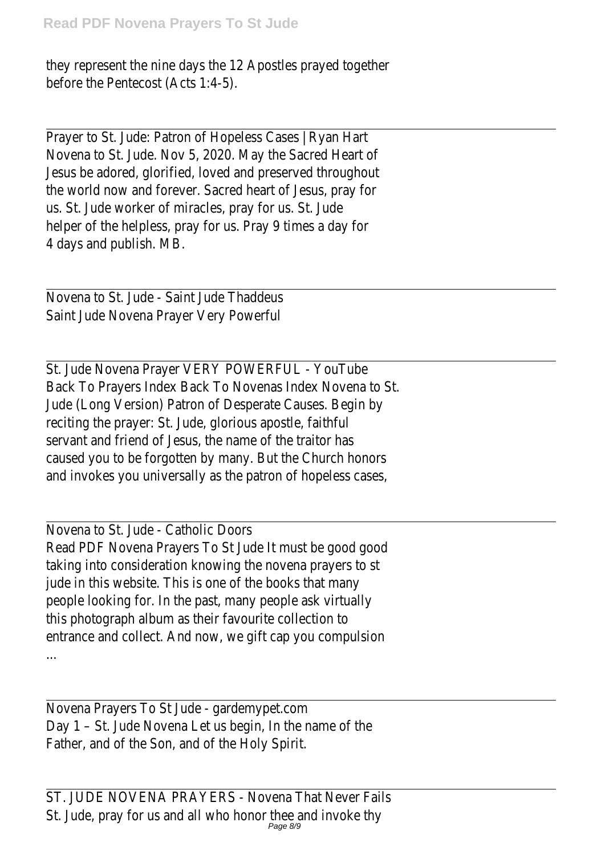they represent the nine days the 12 Apostles prayed together before the Pentecost (Acts 1:4-5).

Prayer to St. Jude: Patron of Hopeless Cases | Ryan Hart Novena to St. Jude. Nov 5, 2020. May the Sacred Heart of Jesus be adored, glorified, loved and preserved throughout the world now and forever. Sacred heart of Jesus, pray for us. St. Jude worker of miracles, pray for us. St. Jude helper of the helpless, pray for us. Pray 9 times a day for 4 days and publish. MB.

Novena to St. Jude - Saint Jude Thaddeus Saint Jude Novena Prayer Very Powerful

St. Jude Novena Prayer VERY POWERFUL - YouTube Back To Prayers Index Back To Novenas Index Novena to St. Jude (Long Version) Patron of Desperate Causes. Begin by reciting the prayer: St. Jude, glorious apostle, faithful servant and friend of Jesus, the name of the traitor has caused you to be forgotten by many. But the Church honors and invokes you universally as the patron of hopeless cases

Novena to St. Jude - Catholic Doors Read PDF Novena Prayers To St Jude It must be good good taking into consideration knowing the novena prayers to st jude in this website. This is one of the books that many people looking for. In the past, many people ask virtually this photograph album as their favourite collection to entrance and collect. And now, we gift cap you compulsion

Novena Prayers To St Jude - gardemypet.com Day 1 – St. Jude Novena Let us begin, In the name of the Father, and of the Son, and of the Holy Spirit.

...